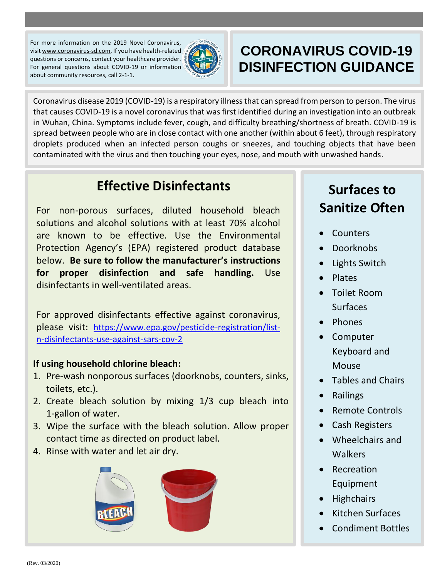For more information on the 2019 Novel Coronavirus, visi[t www.coronavirus-sd.com.](http://www.coronavirus-sd.com/) If you have health-related questions or concerns, contact your healthcare provider. For general questions about COVID-19 or information about community resources, call 2-1-1.



# **CORONAVIRUS COVID-19 DISINFECTION GUIDANCE**

Coronavirus disease 2019 (COVID-19) is a respiratory illness that can spread from person to person. The virus that causes COVID-19 is a novel coronavirus that was first identified during an investigation into an outbreak in Wuhan, China. Symptoms include fever, cough, and difficulty breathing/shortness of breath. COVID-19 is spread between people who are in close contact with one another (within about 6 feet), through respiratory droplets produced when an infected person coughs or sneezes, and touching objects that have been contaminated with the virus and then touching your eyes, nose, and mouth with unwashed hands.

## **Effective Disinfectants**

For non-porous surfaces, diluted household bleach solutions and alcohol solutions with at least 70% alcohol are known to be effective. Use the Environmental Protection Agency's (EPA) registered product database below. **Be sure to follow the manufacturer's instructions for proper disinfection and safe handling.** Use disinfectants in well-ventilated areas.

For approved disinfectants effective against coronavirus, please visit: [https://www.epa.gov/pesticide-registration/list](https://www.epa.gov/pesticide-registration/list-n-disinfectants-use-against-sars-cov-2)[n-disinfectants-use-against-sars-cov-2](https://www.epa.gov/pesticide-registration/list-n-disinfectants-use-against-sars-cov-2)

#### **If using household chlorine bleach:**

- 1. Pre-wash nonporous surfaces (doorknobs, counters, sinks, toilets, etc.).
- 2. Create bleach solution by mixing 1/3 cup bleach into 1-gallon of water.
- 3. Wipe the surface with the bleach solution. Allow proper contact time as directed on product label.
- 4. Rinse with water and let air dry.



# **Surfaces to Sanitize Often**

- Counters
- Doorknobs
- Lights Switch
- Plates
- Toilet Room Surfaces
- Phones
- Computer Keyboard and Mouse
- Tables and Chairs
- Railings
- Remote Controls
- Cash Registers
- Wheelchairs and **Walkers**
- Recreation Equipment
- **Highchairs**
- Kitchen Surfaces
- Condiment Bottles